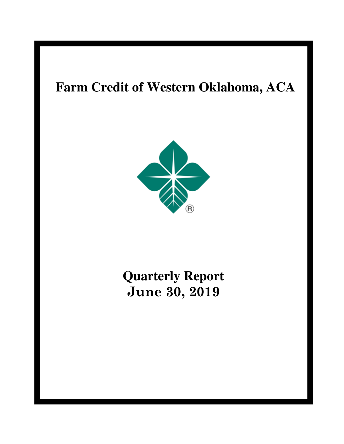# **Farm Credit of Western Oklahoma, ACA**



# **Quarterly Report June 30, 2019**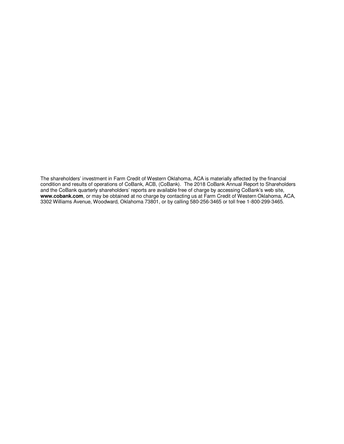The shareholders' investment in Farm Credit of Western Oklahoma, ACA is materially affected by the financial condition and results of operations of CoBank, ACB, (CoBank). The 2018 CoBank Annual Report to Shareholders and the CoBank quarterly shareholders' reports are available free of charge by accessing CoBank's web site, **www.cobank.com**, or may be obtained at no charge by contacting us at Farm Credit of Western Oklahoma, ACA, 3302 Williams Avenue, Woodward, Oklahoma 73801, or by calling 580-256-3465 or toll free 1-800-299-3465.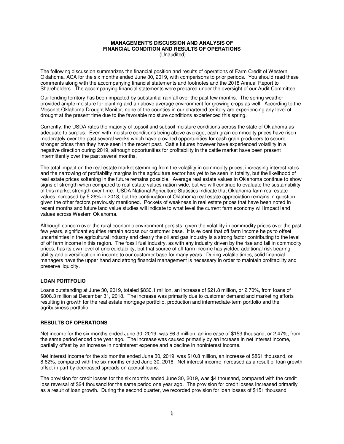#### **MANAGEMENT'S DISCUSSION AND ANALYSIS OF FINANCIAL CONDITION AND RESULTS OF OPERATIONS**  (Unaudited)

The following discussion summarizes the financial position and results of operations of Farm Credit of Western Oklahoma, ACA for the six months ended June 30, 2019, with comparisons to prior periods. You should read these comments along with the accompanying financial statements and footnotes and the 2018 Annual Report to Shareholders. The accompanying financial statements were prepared under the oversight of our Audit Committee.

Our lending territory has been impacted by substantial rainfall over the past few months. The spring weather provided ample moisture for planting and an above average environment for growing crops as well. According to the Mesonet Oklahoma Drought Monitor, none of the counties in our chartered territory are experiencing any level of drought at the present time due to the favorable moisture conditions experienced this spring.

Currently, the USDA rates the majority of topsoil and subsoil moisture conditions across the state of Oklahoma as adequate to surplus. Even with moisture conditions being above average, cash grain commodity prices have risen moderately over the past several weeks which have provided opportunities for cash grain producers to secure stronger prices than they have seen in the recent past. Cattle futures however have experienced volatility in a negative direction during 2019, although opportunities for profitability in the cattle market have been present intermittently over the past several months.

The total impact on the real estate market stemming from the volatility in commodity prices, increasing interest rates and the narrowing of profitability margins in the agriculture sector has yet to be seen in totality, but the likelihood of real estate prices softening in the future remains possible. Average real estate values in Oklahoma continue to show signs of strength when compared to real estate values nation-wide, but we will continue to evaluate the sustainability of this market strength over time. USDA National Agriculture Statistics indicate that Oklahoma farm real estate values increased by 5.26% in 2018, but the continuation of Oklahoma real estate appreciation remains in question given the other factors previously mentioned. Pockets of weakness in real estate prices that have been noted in recent months and future land value studies will indicate to what level the current farm economy will impact land values across Western Oklahoma.

Although concern over the rural economic environment persists, given the volatility in commodity prices over the past few years, significant equities remain across our customer base. It is evident that off farm income helps to offset uncertainties in the agricultural industry and clearly the oil and gas industry is a strong factor contributing to the level of off farm income in this region. The fossil fuel industry, as with any industry driven by the rise and fall in commodity prices, has its own level of unpredictability, but that source of off farm income has yielded additional risk bearing ability and diversification in income to our customer base for many years. During volatile times, solid financial managers have the upper hand and strong financial management is necessary in order to maintain profitability and preserve liquidity.

## **LOAN PORTFOLIO**

Loans outstanding at June 30, 2019, totaled \$830.1 million, an increase of \$21.8 million, or 2.70%, from loans of \$808.3 million at December 31, 2018. The increase was primarily due to customer demand and marketing efforts resulting in growth for the real estate mortgage portfolio, production and intermediate-term portfolio and the agribusiness portfolio.

#### **RESULTS OF OPERATIONS**

Net income for the six months ended June 30, 2019, was \$6.3 million, an increase of \$153 thousand, or 2.47%, from the same period ended one year ago. The increase was caused primarily by an increase in net interest income, partially offset by an increase in noninterest expense and a decline in noninterest income.

Net interest income for the six months ended June 30, 2019, was \$10.8 million, an increase of \$861 thousand, or 8.62%, compared with the six months ended June 30, 2018. Net interest income increased as a result of loan growth offset in part by decreased spreads on accrual loans.

The provision for credit losses for the six months ended June 30, 2019, was \$4 thousand, compared with the credit loss reversal of \$24 thousand for the same period one year ago. The provision for credit losses increased primarily as a result of loan growth. During the second quarter, we recorded provision for loan losses of \$151 thousand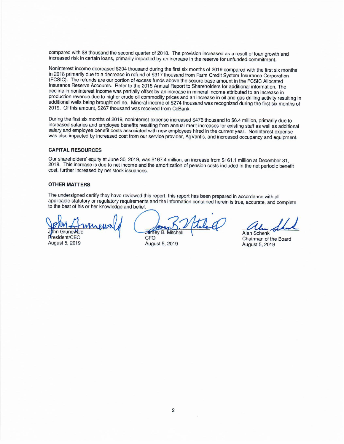compared with \$8 thousand the second quarter of 2018. The provision increased as a result of loan growth and increased risk in certain loans, primarily impacted by an increase in the reserve for unfunded commitment.

Noninterest income decreased \$204 thousand during the first six months of 2019 compared with the first six months in 2018 primarily due to a decrease in refund of \$317 thousand from Farm Credit System Insurance Corporation (FCSIC). The refunds are our portion of excess funds above the secure base amount in the FCSIC Allocated Insurance Reserve Accounts. Refer to the 2018 Annual Report to Shareholders for additional information. The decline in noninterest income was partially offset by an increase in mineral income attributed to an increase in production revenue due to higher crude oil commodity prices and an increase in oil and gas drilling activity resulting in additional wells being brought online. Mineral income of \$274 thousand was recognized during the first six months of 2019. Of this amount, \$267 thousand was received from CoBank.

During the first six months of 2019, noninterest expense increased \$476 thousand to \$6.4 million, primarily due to increased salaries and employee benefits resulting from annual merit increases for existing staff as well as additional salary and employee benefit costs associated with new employees hired in the current year. Noninterest expense was also impacted by increased cost from our service provider, AgVantis, and increased occupancy and equipment.

#### **CAPITAL RESOURCES**

Our shareholders' equity at June 30, 2019, was \$167.4 million, an increase from \$161.1 million at December 31, 2018. This increase is due to net income and the amortization of pension costs included in the net periodic benefit cost, further increased by net stock issuances.

#### **OTHER MATTERS**

The undersigned certify they have reviewed this report, this report has been prepared in accordance with all applicable statutory or regulatory requirements and the information contained herein is true, accurate, and complete to the best of his or her knowledge and belief.

Grunewald

Fresident/CEO August 5, 2019

Jamey B. Mitchel CFO

August 5, 2019

**Alan Schenk** Chairman of the Board August 5, 2019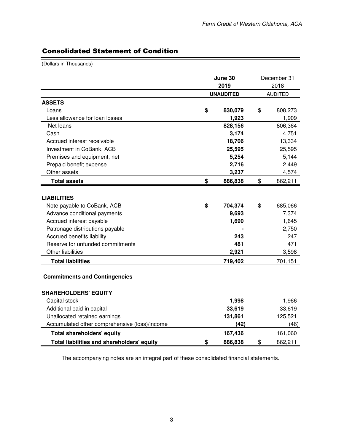$\blacksquare$ 

# Consolidated Statement of Condition

(Dollars in Thousands)

|                                                                     | June 30          | December 31    |
|---------------------------------------------------------------------|------------------|----------------|
|                                                                     | 2019             | 2018           |
|                                                                     | <b>UNAUDITED</b> | <b>AUDITED</b> |
| <b>ASSETS</b>                                                       |                  |                |
| Loans                                                               | \$<br>830,079    | \$<br>808,273  |
| Less allowance for loan losses                                      | 1,923            | 1,909          |
| Net loans                                                           | 828,156          | 806,364        |
| Cash                                                                | 3,174            | 4,751          |
| Accrued interest receivable                                         | 18,706           | 13,334         |
| Investment in CoBank, ACB                                           | 25,595           | 25,595         |
| Premises and equipment, net                                         | 5,254            | 5,144          |
| Prepaid benefit expense                                             | 2,716            | 2,449          |
| Other assets                                                        | 3,237            | 4,574          |
| <b>Total assets</b>                                                 | \$<br>886,838    | \$<br>862,211  |
|                                                                     |                  |                |
| <b>LIABILITIES</b>                                                  |                  |                |
| Note payable to CoBank, ACB                                         | \$<br>704,374    | \$<br>685,066  |
| Advance conditional payments                                        | 9,693            | 7,374          |
| Accrued interest payable                                            | 1,690            | 1,645          |
| Patronage distributions payable                                     |                  | 2,750          |
| Accrued benefits liability                                          | 243              | 247            |
| Reserve for unfunded commitments                                    | 481              | 471            |
| <b>Other liabilities</b>                                            | 2,921            | 3,598          |
| <b>Total liabilities</b>                                            | 719,402          | 701,151        |
| <b>Commitments and Contingencies</b><br><b>SHAREHOLDERS' EQUITY</b> |                  |                |
| Capital stock                                                       | 1,998            | 1,966          |
| Additional paid-in capital                                          | 33,619           | 33,619         |
| Unallocated retained earnings                                       | 131,861          | 125,521        |
| Accumulated other comprehensive (loss)/income                       | (42)             | (46)           |
| <b>Total shareholders' equity</b>                                   | 167,436          | 161,060        |
| Total liabilities and shareholders' equity                          | \$<br>886,838    | \$<br>862,211  |
|                                                                     |                  |                |

The accompanying notes are an integral part of these consolidated financial statements.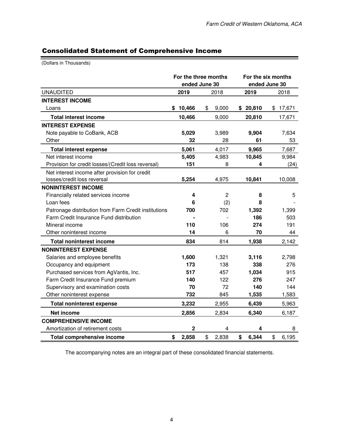-

## Consolidated Statement of Comprehensive Income

(Dollars in Thousands)

|                                                      |             | For the three months<br>ended June 30 |             | For the six months<br>ended June 30 |
|------------------------------------------------------|-------------|---------------------------------------|-------------|-------------------------------------|
| <b>UNAUDITED</b>                                     | 2019        | 2018                                  | 2019        | 2018                                |
| <b>INTEREST INCOME</b>                               |             |                                       |             |                                     |
| Loans                                                | \$10,466    | 9,000<br>\$                           | \$20,810    | \$17,671                            |
| <b>Total interest income</b>                         | 10,466      | 9,000                                 | 20,810      | 17,671                              |
| <b>INTEREST EXPENSE</b>                              |             |                                       |             |                                     |
| Note payable to CoBank, ACB                          | 5,029       | 3,989                                 | 9,904       | 7,634                               |
| Other                                                | 32          | 28                                    | 61          | 53                                  |
| <b>Total interest expense</b>                        | 5,061       | 4,017                                 | 9,965       | 7,687                               |
| Net interest income                                  | 5,405       | 4,983                                 | 10,845      | 9,984                               |
| Provision for credit losses/(Credit loss reversal)   | 151         | 8                                     | 4           | (24)                                |
| Net interest income after provision for credit       |             |                                       |             |                                     |
| losses/credit loss reversal                          | 5,254       | 4,975                                 | 10,841      | 10,008                              |
| <b>NONINTEREST INCOME</b>                            |             |                                       |             |                                     |
| Financially related services income                  | 4           | 2                                     | 8           | 5                                   |
| Loan fees                                            | 6           | (2)                                   | 8           |                                     |
| Patronage distribution from Farm Credit institutions | 700         | 702                                   | 1,392       | 1,399                               |
| Farm Credit Insurance Fund distribution              |             |                                       | 186         | 503                                 |
| Mineral income                                       | 110         | 106                                   | 274         | 191                                 |
| Other noninterest income                             | 14          | 6                                     | 70          | 44                                  |
| <b>Total noninterest income</b>                      | 834         | 814                                   | 1,938       | 2,142                               |
| <b>NONINTEREST EXPENSE</b>                           |             |                                       |             |                                     |
| Salaries and employee benefits                       | 1,600       | 1,321                                 | 3,116       | 2,798                               |
| Occupancy and equipment                              | 173         | 138                                   | 338         | 276                                 |
| Purchased services from AgVantis, Inc.               | 517         | 457                                   | 1,034       | 915                                 |
| Farm Credit Insurance Fund premium                   | 140         | 122                                   | 276         | 247                                 |
| Supervisory and examination costs                    | 70          | 72                                    | 140         | 144                                 |
| Other noninterest expense                            | 732         | 845                                   | 1,535       | 1,583                               |
| <b>Total noninterest expense</b>                     | 3,232       | 2,955                                 | 6,439       | 5,963                               |
| Net income                                           | 2,856       | 2,834                                 | 6,340       | 6,187                               |
| <b>COMPREHENSIVE INCOME</b>                          |             |                                       |             |                                     |
| Amortization of retirement costs                     | $\mathbf 2$ | 4                                     | 4           | 8                                   |
| <b>Total comprehensive income</b>                    | \$<br>2,858 | \$<br>2,838                           | \$<br>6,344 | \$<br>6,195                         |

The accompanying notes are an integral part of these consolidated financial statements.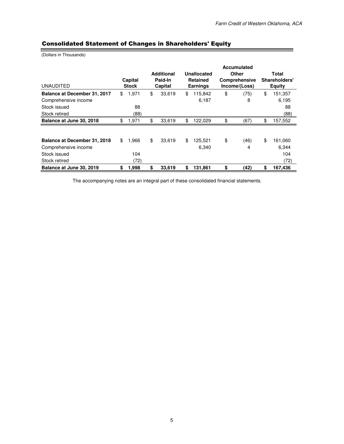|                              |              |                   |    |                 | Accumulated   |               |               |  |
|------------------------------|--------------|-------------------|----|-----------------|---------------|---------------|---------------|--|
|                              |              | <b>Additional</b> |    | Unallocated     | Other         |               | Total         |  |
|                              | Capital      | Paid-In           |    | <b>Retained</b> | Comprehensive | Shareholders' |               |  |
| <b>UNAUDITED</b>             | <b>Stock</b> | Capital           |    | <b>Earnings</b> | Income/(Loss) |               | <b>Equity</b> |  |
| Balance at December 31, 2017 | \$<br>1,971  | \$<br>33,619      | \$ | 115,842         | \$<br>(75)    | \$            | 151,357       |  |
| Comprehensive income         |              |                   |    | 6,187           | 8             |               | 6,195         |  |
| Stock issued                 | 88           |                   |    |                 |               |               | 88            |  |
| Stock retired                | (88)         |                   |    |                 |               |               | (88)          |  |
| Balance at June 30, 2018     | \$<br>1,971  | \$<br>33,619      | \$ | 122,029         | \$<br>(67)    | \$            | 157,552       |  |
|                              |              |                   |    |                 |               |               |               |  |
|                              |              |                   |    |                 |               |               |               |  |
| Balance at December 31, 2018 | \$<br>1,966  | \$<br>33,619      | \$ | 125,521         | \$<br>(46)    | \$            | 161,060       |  |
| Comprehensive income         |              |                   |    | 6,340           | 4             |               | 6,344         |  |
| Stock issued                 | 104          |                   |    |                 |               |               | 104           |  |
| Stock retired                | (72)         |                   |    |                 |               |               | (72)          |  |
| Balance at June 30, 2019     | \$<br>1,998  | \$<br>33,619      | \$ | 131.861         | \$<br>(42)    | \$            | 167,436       |  |

# Consolidated Statement of Changes in Shareholders' Equity

(Dollars in Thousands)

The accompanying notes are an integral part of these consolidated financial statements.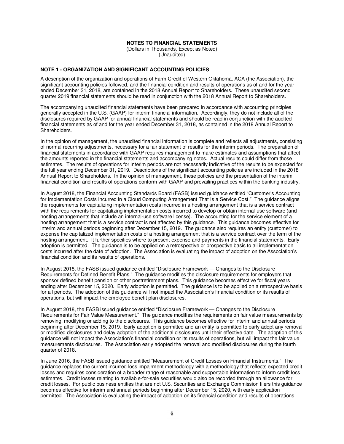#### **NOTES TO FINANCIAL STATEMENTS**

(Dollars in Thousands, Except as Noted) (Unaudited)

#### **NOTE 1 - ORGANIZATION AND SIGNIFICANT ACCOUNTING POLICIES**

A description of the organization and operations of Farm Credit of Western Oklahoma, ACA (the Association), the significant accounting policies followed, and the financial condition and results of operations as of and for the year ended December 31, 2018, are contained in the 2018 Annual Report to Shareholders. These unaudited second quarter 2019 financial statements should be read in conjunction with the 2018 Annual Report to Shareholders.

The accompanying unaudited financial statements have been prepared in accordance with accounting principles generally accepted in the U.S. (GAAP) for interim financial information. Accordingly, they do not include all of the disclosures required by GAAP for annual financial statements and should be read in conjunction with the audited financial statements as of and for the year ended December 31, 2018, as contained in the 2018 Annual Report to Shareholders.

In the opinion of management, the unaudited financial information is complete and reflects all adjustments, consisting of normal recurring adjustments, necessary for a fair statement of results for the interim periods. The preparation of financial statements in accordance with GAAP requires management to make estimates and assumptions that affect the amounts reported in the financial statements and accompanying notes. Actual results could differ from those estimates. The results of operations for interim periods are not necessarily indicative of the results to be expected for the full year ending December 31, 2019. Descriptions of the significant accounting policies are included in the 2018 Annual Report to Shareholders. In the opinion of management, these policies and the presentation of the interim financial condition and results of operations conform with GAAP and prevailing practices within the banking industry.

In August 2018, the Financial Accounting Standards Board (FASB) issued guidance entitled "Customer's Accounting for Implementation Costs Incurred in a Cloud Computing Arrangement That Is a Service Cost." The guidance aligns the requirements for capitalizing implementation costs incurred in a hosting arrangement that is a service contract with the requirements for capitalizing implementation costs incurred to develop or obtain internal-use software (and hosting arrangements that include an internal-use software license). The accounting for the service element of a hosting arrangement that is a service contract is not affected by this guidance. This guidance becomes effective for interim and annual periods beginning after December 15, 2019. The guidance also requires an entity (customer) to expense the capitalized implementation costs of a hosting arrangement that is a service contract over the term of the hosting arrangement. It further specifies where to present expense and payments in the financial statements. Early adoption is permitted. The guidance is to be applied on a retrospective or prospective basis to all implementation costs incurred after the date of adoption. The Association is evaluating the impact of adoption on the Association's financial condition and its results of operations.

In August 2018, the FASB issued guidance entitled "Disclosure Framework — Changes to the Disclosure Requirements for Defined Benefit Plans." The guidance modifies the disclosure requirements for employers that sponsor defined benefit pension or other postretirement plans. This guidance becomes effective for fiscal years ending after December 15, 2020. Early adoption is permitted. The guidance is to be applied on a retrospective basis for all periods. The adoption of this guidance will not impact the Association's financial condition or its results of operations, but will impact the employee benefit plan disclosures.

In August 2018, the FASB issued guidance entitled "Disclosure Framework — Changes to the Disclosure Requirements for Fair Value Measurement." The guidance modifies the requirements on fair value measurements by removing, modifying or adding to the disclosures. This guidance becomes effective for interim and annual periods beginning after December 15, 2019. Early adoption is permitted and an entity is permitted to early adopt any removal or modified disclosures and delay adoption of the additional disclosures until their effective date. The adoption of this guidance will not impact the Association's financial condition or its results of operations, but will impact the fair value measurements disclosures. The Association early adopted the removal and modified disclosures during the fourth quarter of 2018.

In June 2016, the FASB issued guidance entitled "Measurement of Credit Losses on Financial Instruments." The guidance replaces the current incurred loss impairment methodology with a methodology that reflects expected credit losses and requires consideration of a broader range of reasonable and supportable information to inform credit loss estimates. Credit losses relating to available-for-sale securities would also be recorded through an allowance for credit losses. For public business entities that are not U.S. Securities and Exchange Commission filers this guidance becomes effective for interim and annual periods beginning after December 15, 2020, with early application permitted. The Association is evaluating the impact of adoption on its financial condition and results of operations.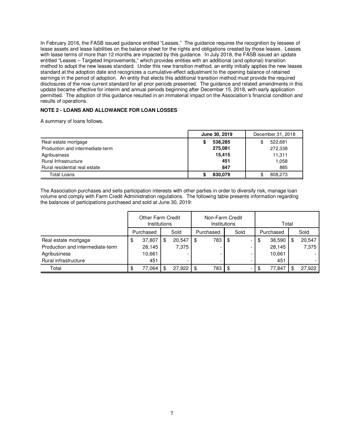In February 2016, the FASB issued guidance entitled "Leases." The guidance requires the recognition by lessees of lease assets and lease liabilities on the balance sheet for the rights and obligations created by those leases. Leases with lease terms of more than 12 months are impacted by this guidance. In July 2018, the FASB issued an update entitled "Leases – Targeted Improvements," which provides entities with an additional (and optional) transition method to adopt the new leases standard. Under this new transition method, an entity initially applies the new leases standard at the adoption date and recognizes a cumulative-effect adjustment to the opening balance of retained earnings in the period of adoption. An entity that elects this additional transition method must provide the required disclosures of the now current standard for all prior periods presented. The guidance and related amendments in this update became effective for interim and annual periods beginning after December 15, 2018, with early application permitted. The adoption of this guidance resulted in an immaterial impact on the Association's financial condition and results of operations.

## **NOTE 2 - LOANS AND ALLOWANCE FOR LOAN LOSSES**

A summary of loans follows.

|                                  | June 30, 2019 | December 31, 2018 |
|----------------------------------|---------------|-------------------|
| Real estate mortgage             | 538,285<br>S  | 522,681           |
| Production and intermediate-term | 275,081       | 272,338           |
| Agribusiness                     | 15,415        | 11,311            |
| Rural Infrastructure             | 451           | 1,058             |
| Rural residential real estate    | 847           | 885               |
| <b>Total Loans</b>               | 830,079       | 808,273           |

The Association purchases and sells participation interests with other parties in order to diversify risk, manage loan volume and comply with Farm Credit Administration regulations. The following table presents information regarding the balances of participations purchased and sold at June 30, 2019:

|                                  | <b>Other Farm Credit</b><br>Institutions |           |    |        |     | Non-Farm Credit<br>Institutions |     | Total |    |           |      |        |
|----------------------------------|------------------------------------------|-----------|----|--------|-----|---------------------------------|-----|-------|----|-----------|------|--------|
|                                  |                                          | Purchased |    | Sold   |     | Purchased                       |     | Sold  |    | Purchased | Sold |        |
| Real estate mortgage             | \$                                       | 37,807    | \$ | 20,547 |     | 783                             | -\$ |       | \$ | 38,590    | S    | 20,547 |
| Production and intermediate-term |                                          | 28,145    |    | 7,375  |     | $\overline{\phantom{0}}$        |     |       |    | 28,145    |      | 7,375  |
| Agribusiness                     |                                          | 10,661    |    |        |     |                                 |     |       |    | 10,661    |      |        |
| Rural infrastructure             |                                          | 451       |    |        |     | -                               |     |       |    | 451       |      |        |
| Total                            | \$                                       | 77,064    | \$ | 27,922 | -\$ | 783                             | \$. |       | \$ | 77,847    |      | 27,922 |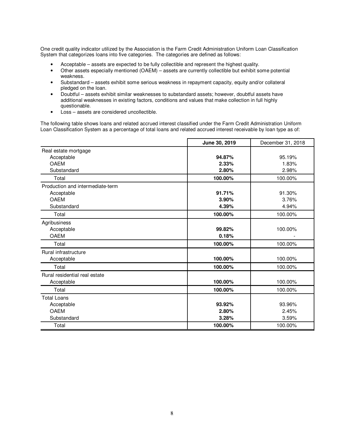One credit quality indicator utilized by the Association is the Farm Credit Administration Uniform Loan Classification System that categorizes loans into five categories. The categories are defined as follows:

- Acceptable assets are expected to be fully collectible and represent the highest quality.
- Other assets especially mentioned (OAEM) assets are currently collectible but exhibit some potential weakness.
- Substandard assets exhibit some serious weakness in repayment capacity, equity and/or collateral pledged on the loan.
- Doubtful assets exhibit similar weaknesses to substandard assets; however, doubtful assets have additional weaknesses in existing factors, conditions and values that make collection in full highly questionable.
- Loss assets are considered uncollectible.

The following table shows loans and related accrued interest classified under the Farm Credit Administration Uniform Loan Classification System as a percentage of total loans and related accrued interest receivable by loan type as of:

|                                  | June 30, 2019 | December 31, 2018 |
|----------------------------------|---------------|-------------------|
| Real estate mortgage             |               |                   |
| Acceptable                       | 94.87%        | 95.19%            |
| <b>OAEM</b>                      | 2.33%         | 1.83%             |
| Substandard                      | 2.80%         | 2.98%             |
| Total                            | 100.00%       | 100.00%           |
| Production and intermediate-term |               |                   |
| Acceptable                       | 91.71%        | 91.30%            |
| <b>OAEM</b>                      | 3.90%         | 3.76%             |
| Substandard                      | 4.39%         | 4.94%             |
| Total                            | 100.00%       | 100.00%           |
| Agribusiness                     |               |                   |
| Acceptable                       | 99.82%        | 100.00%           |
| <b>OAEM</b>                      | 0.18%         |                   |
| Total                            | 100.00%       | 100.00%           |
| Rural infrastructure             |               |                   |
| Acceptable                       | 100.00%       | 100.00%           |
| Total                            | 100.00%       | 100.00%           |
| Rural residential real estate    |               |                   |
| Acceptable                       | 100.00%       | 100.00%           |
| Total                            | 100.00%       | 100.00%           |
| <b>Total Loans</b>               |               |                   |
| Acceptable                       | 93.92%        | 93.96%            |
| <b>OAEM</b>                      | 2.80%         | 2.45%             |
| Substandard                      | 3.28%         | 3.59%             |
| Total                            | 100.00%       | 100.00%           |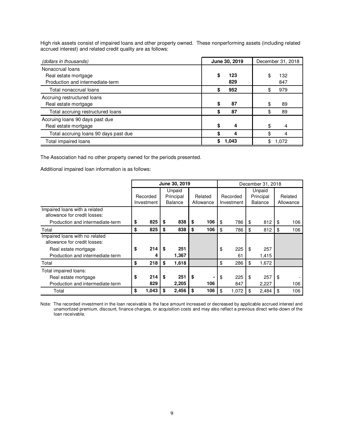High risk assets consist of impaired loans and other property owned. These nonperforming assets (including related accrued interest) and related credit quality are as follows:

| (dollars in thousands)                                                       | June 30, 2019   | December 31, 2018 |
|------------------------------------------------------------------------------|-----------------|-------------------|
| Nonaccrual loans<br>Real estate mortgage<br>Production and intermediate-term | S<br>123<br>829 | \$<br>132<br>847  |
| Total nonaccrual loans                                                       | 952<br>\$       | 979               |
| Accruing restructured loans<br>Real estate mortgage                          | \$<br>87        | \$<br>89          |
| Total accruing restructured loans                                            | 87              | 89                |
| Accruing loans 90 days past due<br>Real estate mortgage                      | \$<br>4         | \$<br>4           |
| Total accruing loans 90 days past due                                        | \$              | 4                 |
| Total impaired loans                                                         | 1.043           | 1,072             |

The Association had no other property owned for the periods presented.

Additional impaired loan information is as follows:

|                                                               |             |    | June 30, 2019  |    | December 31, 2018 |    |            |        |                |         |           |
|---------------------------------------------------------------|-------------|----|----------------|----|-------------------|----|------------|--------|----------------|---------|-----------|
|                                                               |             |    | Unpaid         |    |                   |    |            | Unpaid |                |         |           |
|                                                               | Recorded    |    | Principal      |    | Related           |    | Recorded   |        | Principal      | Related |           |
|                                                               | Investment  |    | <b>Balance</b> |    | Allowance         |    | Investment |        | <b>Balance</b> |         | Allowance |
| Impaired loans with a related<br>allowance for credit losses: |             |    |                |    |                   |    |            |        |                |         |           |
| Production and intermediate-term                              | \$<br>825   | \$ | 838            | \$ | 106               | \$ | 786        | \$     | 812            | \$      | 106       |
| Total                                                         | \$<br>825   | \$ | 838            | \$ | 106               | \$ | 786        | \$     | 812            | \$      | 106       |
| Impaired loans with no related                                |             |    |                |    |                   |    |            |        |                |         |           |
| allowance for credit losses:                                  |             |    |                |    |                   |    |            |        |                |         |           |
| Real estate mortgage                                          | \$<br>214   | \$ | 251            |    |                   | \$ | 225        | \$     | 257            |         |           |
| Production and intermediate-term                              | 4           |    | 1,367          |    |                   |    | 61         |        | 1,415          |         |           |
| Total                                                         | \$<br>218   | \$ | 1,618          |    |                   | \$ | 286        | \$     | 1.672          |         |           |
| Total impaired loans:                                         |             |    |                |    |                   |    |            |        |                |         |           |
| Real estate mortgage                                          | \$<br>214   | \$ | 251            | \$ |                   | \$ | 225        | \$     | 257            | \$      |           |
| Production and intermediate-term                              | 829         |    | 2,205          |    | 106               |    | 847        |        | 2,227          |         | 106       |
| Total                                                         | \$<br>1,043 | \$ | 2,456          | \$ | 106               | \$ | 1,072      | \$     | 2,484          | \$      | 106       |

Note: The recorded investment in the loan receivable is the face amount increased or decreased by applicable accrued interest and unamortized premium, discount, finance charges, or acquisition costs and may also reflect a previous direct write-down of the loan receivable.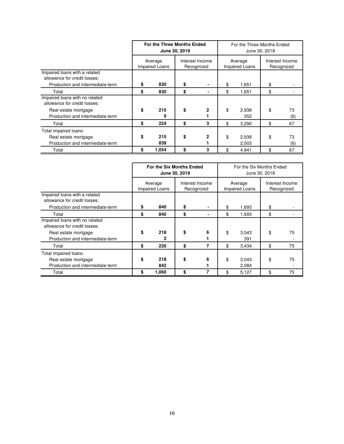|                                                                | For the Three Months Ended       | June 30, 2019 |                               | For the Three Months Ended<br>June 30, 2018 |                                  |    |                               |  |  |  |
|----------------------------------------------------------------|----------------------------------|---------------|-------------------------------|---------------------------------------------|----------------------------------|----|-------------------------------|--|--|--|
|                                                                | Average<br><b>Impaired Loans</b> |               | Interest Income<br>Recognized |                                             | Average<br><b>Impaired Loans</b> |    | Interest Income<br>Recognized |  |  |  |
| Impaired loans with a related<br>allowance for credit losses:  |                                  |               |                               |                                             |                                  |    |                               |  |  |  |
| Production and intermediate-term                               | \$<br>830                        | \$            |                               | \$                                          | 1,651                            | \$ |                               |  |  |  |
| Total                                                          | \$<br>830                        | \$            |                               | \$                                          | 1,651                            | \$ |                               |  |  |  |
| Impaired loans with no related<br>allowance for credit losses: |                                  |               |                               |                                             |                                  |    |                               |  |  |  |
| Real estate mortgage                                           | \$<br>215                        | \$            | $\mathbf{2}$                  | \$                                          | 2,938                            | \$ | 73                            |  |  |  |
| Production and intermediate-term                               | 9                                |               |                               |                                             | 352                              |    | (6)                           |  |  |  |
| Total                                                          | \$<br>224                        | \$            | 3                             | \$                                          | 3,290                            | \$ | 67                            |  |  |  |
| Total impaired loans:                                          |                                  |               |                               |                                             |                                  |    |                               |  |  |  |
| Real estate mortgage                                           | \$<br>215                        | \$            | 2                             | \$                                          | 2,938                            | \$ | 73                            |  |  |  |
| Production and intermediate-term                               | 839                              |               |                               |                                             | 2,003                            |    | (6)                           |  |  |  |
| Total                                                          | \$<br>1,054                      | \$            | 3                             | \$                                          | 4,941                            | \$ | 67                            |  |  |  |

|                                                                                   |    | For the Six Months Ended  | June 30, 2019 |                               | For the Six Months Ended<br>June 30, 2018 |                                  |    |                               |  |  |  |
|-----------------------------------------------------------------------------------|----|---------------------------|---------------|-------------------------------|-------------------------------------------|----------------------------------|----|-------------------------------|--|--|--|
|                                                                                   |    | Average<br>Impaired Loans |               | Interest Income<br>Recognized |                                           | Average<br><b>Impaired Loans</b> |    | Interest Income<br>Recognized |  |  |  |
| Impaired loans with a related<br>allowance for credit losses:                     |    |                           |               |                               |                                           |                                  |    |                               |  |  |  |
| Production and intermediate-term                                                  | S  | 840                       | \$            |                               | \$                                        | 1,693                            | \$ |                               |  |  |  |
| Total                                                                             | \$ | 840                       | \$            |                               | \$                                        | 1,693                            | \$ |                               |  |  |  |
| Impaired loans with no related<br>allowance for credit losses:                    |    |                           |               |                               |                                           |                                  |    |                               |  |  |  |
| Real estate mortgage<br>Production and intermediate-term                          | \$ | 218<br>2                  | \$            | 6                             | \$                                        | 3,043<br>391                     | \$ | 75                            |  |  |  |
| Total                                                                             | \$ | 220                       | \$            | 7                             | \$                                        | 3,434                            | \$ | 75                            |  |  |  |
| Total impaired loans:<br>Real estate mortgage<br>Production and intermediate-term | \$ | 218<br>842                | \$            | 6                             | \$                                        | 3,043<br>2,084                   | \$ | 75                            |  |  |  |
| Total                                                                             | \$ | 1,060                     | \$            | 7                             | \$                                        | 5,127                            | \$ | 75                            |  |  |  |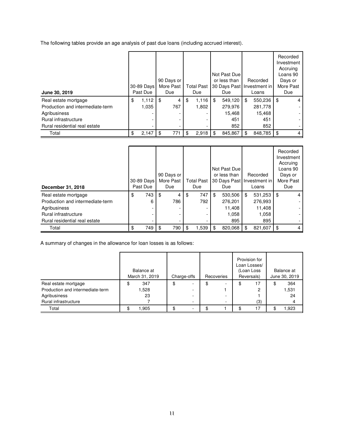The following tables provide an age analysis of past due loans (including accrued interest).

| June 30, 2019                                            | 30-89 Days<br>Past Due | 90 Days or<br>More Past<br>Due |          | <b>Total Past</b><br>Due | Not Past Due<br>or less than<br>30 Days Past Investment in<br>Due | Recorded<br>Loans        |      | Recorded<br>Investment<br>Accruing<br>Loans 90<br>Days or<br>More Past<br>Due |
|----------------------------------------------------------|------------------------|--------------------------------|----------|--------------------------|-------------------------------------------------------------------|--------------------------|------|-------------------------------------------------------------------------------|
| Real estate mortgage<br>Production and intermediate-term | \$<br>1,112<br>1,035   | \$                             | 4<br>767 | \$<br>1,116<br>1,802     | \$<br>549,120<br>279,976                                          | \$<br>550,236<br>281,778 | \$   | 4                                                                             |
| Agribusiness                                             |                        |                                |          |                          | 15,468                                                            | 15,468                   |      |                                                                               |
| Rural infrastructure                                     |                        |                                |          |                          | 451                                                               | 451                      |      |                                                                               |
| Rural residential real estate                            |                        |                                |          |                          | 852                                                               | 852                      |      |                                                                               |
| Total                                                    | \$<br>2,147            | \$                             | 771      | 2,918                    | \$<br>845,867                                                     | \$<br>848,785            | - \$ |                                                                               |

| December 31, 2018                | 30-89 Days<br>Past Due |     | 90 Days or<br>More Past<br>Due | <b>Total Past</b><br>Due |     | Not Past Due<br>or less than<br>30 Days Past Investment in<br>Due | Recorded<br>Loans |     | Recorded<br>Investment<br>Accruing<br>Loans 90<br>Days or<br>More Past<br>Due |
|----------------------------------|------------------------|-----|--------------------------------|--------------------------|-----|-------------------------------------------------------------------|-------------------|-----|-------------------------------------------------------------------------------|
| Real estate mortgage             | \$<br>743              | -\$ | 4                              | \$<br>747                | \$  | 530,506                                                           | \$<br>531,253     | -\$ | 4                                                                             |
| Production and intermediate-term | 6                      |     | 786                            | 792                      |     | 276,201                                                           | 276,993           |     |                                                                               |
| Agribusiness                     |                        |     |                                |                          |     | 11,408                                                            | 11,408            |     |                                                                               |
| Rural infrastructure             |                        |     |                                |                          |     | 1,058                                                             | 1,058             |     |                                                                               |
| Rural residential real estate    |                        |     |                                |                          |     | 895                                                               | 895               |     |                                                                               |
| Total                            | \$<br>749              | \$  | 790                            | 1,539                    | \$. | 820,068                                                           | \$<br>821,607     | -\$ | 4                                                                             |

A summary of changes in the allowance for loan losses is as follows:

|                                  |   | Balance at<br>March 31, 2019 | Charge-offs | Recoveries | Provision for<br>Loan Losses/<br>(Loan Loss<br>Reversals) | Balance at<br>June 30, 2019 |
|----------------------------------|---|------------------------------|-------------|------------|-----------------------------------------------------------|-----------------------------|
| Real estate mortgage             | S | 347                          | \$          |            | \$<br>17                                                  | \$<br>364                   |
| Production and intermediate-term |   | 1,528                        |             |            | 2                                                         | 1,531                       |
| Agribusiness                     |   | 23                           |             |            |                                                           | 24                          |
| Rural infrastructure             |   |                              | -           |            | (3)                                                       | 4                           |
| Total                            | ጦ | 1,905                        |             |            | 17                                                        | 1,923                       |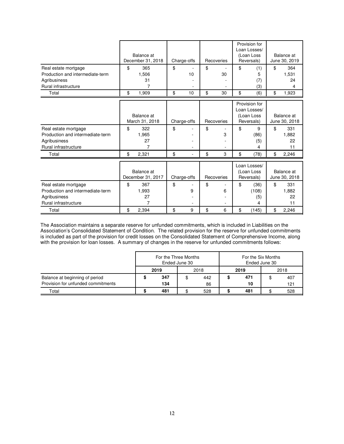| Real estate mortgage<br>Production and intermediate-term                                         | \$<br>Balance at<br>December 31, 2018<br>365<br>1,506 | \$<br>Charge-offs<br>10 | \$<br>Recoveries<br>30 | \$<br>Provision for<br>Loan Losses/<br>(Loan Loss<br>Reversals)<br>(1)<br>5 | \$  | Balance at<br>June 30, 2019<br>364<br>1,531 |
|--------------------------------------------------------------------------------------------------|-------------------------------------------------------|-------------------------|------------------------|-----------------------------------------------------------------------------|-----|---------------------------------------------|
| Agribusiness<br>Rural infrastructure                                                             | 31<br>7                                               |                         |                        | (7)<br>(3)                                                                  |     | 24<br>4                                     |
| Total                                                                                            | \$<br>1,909                                           | \$<br>10                | \$<br>30               | \$<br>(6)                                                                   | \$  | 1,923                                       |
|                                                                                                  | Balance at<br>March 31, 2018                          | Charge-offs             | Recoveries             | Provision for<br>Loan Losses/<br>(Loan Loss<br>Reversals)                   |     | Balance at<br>June 30, 2018                 |
| Real estate mortgage<br>Production and intermediate-term<br>Agribusiness<br>Rural infrastructure | \$<br>322<br>1,965<br>27<br>7                         | \$                      | \$<br>3                | \$<br>9<br>(86)<br>(5)<br>4                                                 | \$. | 331<br>1,882<br>22<br>11                    |
| Total                                                                                            | \$<br>2,321                                           | \$<br>٠                 | \$<br>3                | \$<br>(78)                                                                  | \$  | 2,246                                       |
|                                                                                                  | Balance at<br>December 31, 2017                       | Charge-offs             | Recoveries             | Loan Losses/<br>(Loan Loss<br>Reversals)                                    |     | Balance at<br>June 30, 2018                 |
| Real estate mortgage<br>Production and intermediate-term<br>Agribusiness<br>Rural infrastructure | \$<br>367<br>1,993<br>27                              | \$<br>9                 | \$<br>6                | \$<br>(36)<br>(108)<br>(5)<br>4                                             | \$  | 331<br>1,882<br>22<br>11                    |
| Total                                                                                            | \$<br>2,394                                           | \$<br>9                 | \$<br>6                | \$<br>(145)                                                                 | \$  | 2,246                                       |

The Association maintains a separate reserve for unfunded commitments, which is included in Liabilities on the Association's Consolidated Statement of Condition. The related provision for the reserve for unfunded commitments is included as part of the provision for credit losses on the Consolidated Statement of Comprehensive Income, along with the provision for loan losses. A summary of changes in the reserve for unfunded commitments follows:

|                                    | For the Three Months<br>Ended June 30 |     |  |     |      | For the Six Months |  |     |
|------------------------------------|---------------------------------------|-----|--|-----|------|--------------------|--|-----|
|                                    | 2019<br>2018                          |     |  |     | 2019 | 2018               |  |     |
| Balance at beginning of period     |                                       | 347 |  | 442 |      | 471                |  | 407 |
| Provision for unfunded commitments |                                       | 134 |  | 86  |      | 10                 |  | 121 |
| Total                              |                                       | 481 |  | 528 |      | 481                |  | 528 |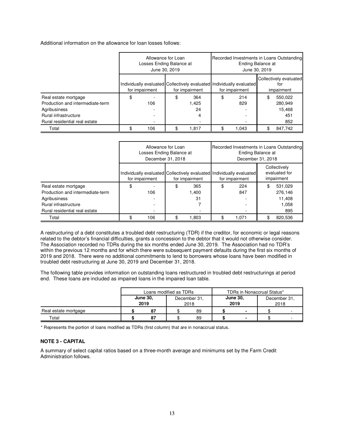Additional information on the allowance for loan losses follows:

|                                  | Allowance for Loan<br>Losses Ending Balance at<br>June 30, 2019 |                                                                                        | Recorded Investments in Loans Outstanding<br>Ending Balance at<br>June 30, 2019 |                |    |                                             |  |  |
|----------------------------------|-----------------------------------------------------------------|----------------------------------------------------------------------------------------|---------------------------------------------------------------------------------|----------------|----|---------------------------------------------|--|--|
|                                  | for impairment                                                  | Individually evaluated Collectively evaluated Individually evaluated<br>for impairment |                                                                                 | for impairment |    | Collectively evaluated<br>tor<br>impairment |  |  |
| Real estate mortgage             | \$                                                              | \$<br>364                                                                              | \$                                                                              | 214            | \$ | 550.022                                     |  |  |
| Production and intermediate-term | 106                                                             | 1,425                                                                                  |                                                                                 | 829            |    | 280,949                                     |  |  |
| Agribusiness                     |                                                                 | 24                                                                                     |                                                                                 |                |    | 15,468                                      |  |  |
| Rural infrastructure             |                                                                 | 4                                                                                      |                                                                                 |                |    | 451                                         |  |  |
| Rural residential real estate    |                                                                 |                                                                                        |                                                                                 |                |    | 852                                         |  |  |
| Total                            | 106                                                             | 1.817                                                                                  |                                                                                 | 1.043          |    | 847,742                                     |  |  |

|                                  | Allowance for Loan<br>Losses Ending Balance at<br>December 31, 2018 |                | Ending Balance at<br>December 31, 2018                                                 | Recorded Investments in Loans Outstanding   |
|----------------------------------|---------------------------------------------------------------------|----------------|----------------------------------------------------------------------------------------|---------------------------------------------|
|                                  | for impairment                                                      | for impairment | Individually evaluated Collectively evaluated Individually evaluated<br>for impairment | Collectively<br>evaluated for<br>impairment |
| Real estate mortgage             | \$                                                                  | \$<br>365      | \$<br>224                                                                              | \$<br>531.029                               |
| Production and intermediate-term | 106                                                                 | 1,400          | 847                                                                                    | 276.146                                     |
| Agribusiness                     |                                                                     | 31             |                                                                                        | 11.408                                      |
| Rural infrastructure             |                                                                     |                |                                                                                        | 1,058                                       |
| Rural residential real estate    |                                                                     |                |                                                                                        | 895                                         |
| Total                            | 106                                                                 | 1.803          | 1.071                                                                                  | 820.536                                     |

A restructuring of a debt constitutes a troubled debt restructuring (TDR) if the creditor, for economic or legal reasons related to the debtor's financial difficulties, grants a concession to the debtor that it would not otherwise consider. The Association recorded no TDRs during the six months ended June 30, 2019. The Association had no TDR's within the previous 12 months and for which there were subsequent payment defaults during the first six months of 2019 and 2018. There were no additional commitments to lend to borrowers whose loans have been modified in troubled debt restructuring at June 30, 2019 and December 31, 2018.

The following table provides information on outstanding loans restructured in troubled debt restructurings at period end. These loans are included as impaired loans in the impaired loan table.

|                      |                         | Loans modified as TDRs |                                                 |    | TDRs in Nonaccrual Status* |                          |                      |   |  |  |
|----------------------|-------------------------|------------------------|-------------------------------------------------|----|----------------------------|--------------------------|----------------------|---|--|--|
|                      | <b>June 30,</b><br>2019 |                        | <b>June 30.</b><br>December 31.<br>2019<br>2018 |    |                            |                          | December 31,<br>2018 |   |  |  |
| Real estate mortgage |                         | 87                     |                                                 | 89 |                            | $\overline{\phantom{0}}$ |                      |   |  |  |
| Total                | 87                      |                        |                                                 | 89 |                            | $\blacksquare$           |                      | ۰ |  |  |

\* Represents the portion of loans modified as TDRs (first column) that are in nonaccrual status.

#### **NOTE 3 - CAPITAL**

A summary of select capital ratios based on a three-month average and minimums set by the Farm Credit Administration follows.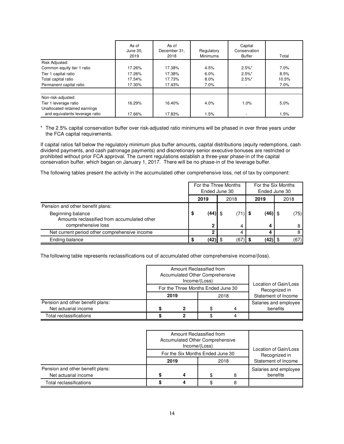|                                                        | As of<br>June 30.<br>2019 | As of<br>December 31.<br>2018 | Regulatory<br><b>Minimums</b> | Capital<br>Conservation<br><b>Buffer</b> | Total |
|--------------------------------------------------------|---------------------------|-------------------------------|-------------------------------|------------------------------------------|-------|
| Risk Adjusted:                                         |                           |                               |                               |                                          |       |
| Common equity tier 1 ratio                             | 17.26%                    | 17.38%                        | 4.5%                          | $2.5\%$ *                                | 7.0%  |
| Tier 1 capital ratio                                   | 17.26%                    | 17.38%                        | 6.0%                          | $2.5\%$ *                                | 8.5%  |
| Total capital ratio                                    | 17.54%                    | 17.73%                        | 8.0%                          | $2.5\%$ *                                | 10.5% |
| Permanent capital ratio                                | 17.30%                    | 17.43%                        | 7.0%                          |                                          | 7.0%  |
| Non-risk-adjusted:                                     |                           |                               |                               |                                          |       |
| Tier 1 leverage ratio<br>Unallocated retained earnings | 16.29%                    | 16.40%                        | 4.0%                          | 1.0%                                     | 5.0%  |
| and equivalents leverage ratio                         | 17.66%                    | 17.83%                        | 1.5%                          |                                          | 1.5%  |

\* The 2.5% capital conservation buffer over risk-adjusted ratio minimums will be phased in over three years under the FCA capital requirements.

If capital ratios fall below the regulatory minimum plus buffer amounts, capital distributions (equity redemptions, cash dividend payments, and cash patronage payments) and discretionary senior executive bonuses are restricted or prohibited without prior FCA approval. The current regulations establish a three-year phase-in of the capital conservation buffer, which began on January 1, 2017. There will be no phase-in of the leverage buffer.

The following tables present the activity in the accumulated other comprehensive loss, net of tax by component:

|                                                                  | For the Three Months<br>Ended June 30 |                      |  |      |  | For the Six Months<br>Ended June 30 |      |      |
|------------------------------------------------------------------|---------------------------------------|----------------------|--|------|--|-------------------------------------|------|------|
|                                                                  |                                       | 2019<br>2018<br>2019 |  |      |  |                                     | 2018 |      |
| Pension and other benefit plans:                                 |                                       |                      |  |      |  |                                     |      |      |
| Beginning balance<br>Amounts reclassified from accumulated other | S                                     | (44)                 |  | (71) |  | $(46)$ \$                           |      | (75) |
| comprehensive loss                                               |                                       | ≘                    |  | 4    |  |                                     |      |      |
| Net current period other comprehensive income                    |                                       |                      |  |      |  |                                     |      |      |
| Ending balance                                                   |                                       | (42)                 |  | (67) |  | $(42)$   \$                         |      | (67) |

The following table represents reclassifications out of accumulated other comprehensive income/(loss).

|                                  |              |                                    | Amount Reclassified from<br>Accumulated Other Comprehensive<br>Income/(Loss) |  | Location of Gain/Loss |
|----------------------------------|--------------|------------------------------------|------------------------------------------------------------------------------|--|-----------------------|
|                                  |              | For the Three Months Ended June 30 | Recognized in                                                                |  |                       |
|                                  | 2019<br>2018 |                                    |                                                                              |  | Statement of Income   |
| Pension and other benefit plans: |              |                                    |                                                                              |  | Salaries and employee |
| Net actuarial income             |              |                                    | benefits                                                                     |  |                       |
| Total reclassifications          |              |                                    |                                                                              |  |                       |

|                                                          | Amount Reclassified from<br>Accumulated Other Comprehensive | Income/(Loss) |      | Location of Gain/Loss                |
|----------------------------------------------------------|-------------------------------------------------------------|---------------|------|--------------------------------------|
|                                                          | For the Six Months Ended June 30<br>2019                    |               | 2018 | Recognized in<br>Statement of Income |
| Pension and other benefit plans:<br>Net actuarial income | Δ                                                           | ደ             | 8    | Salaries and employee<br>benefits    |
| Total reclassifications                                  |                                                             |               |      |                                      |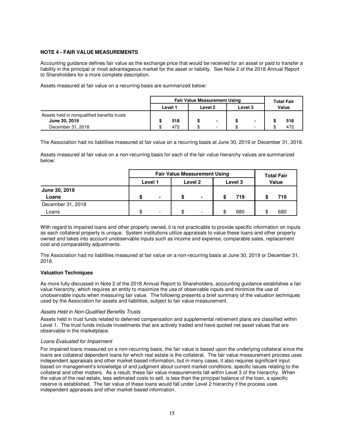### **NOTE 4 - FAIR VALUE MEASUREMENTS**

Accounting guidance defines fair value as the exchange price that would be received for an asset or paid to transfer a liability in the principal or most advantageous market for the asset or liability. See Note 2 of the 2018 Annual Report to Shareholders for a more complete description.

Assets measured at fair value on a recurring basis are summarized below:

|                                                              | <b>Fair Value Measurement Using</b> | <b>Total Fair</b> |   |         |  |  |       |
|--------------------------------------------------------------|-------------------------------------|-------------------|---|---------|--|--|-------|
|                                                              | Level 1                             | Level 2           |   | Level 3 |  |  | Value |
| Assets held in nonqualified benefits trusts<br>June 30, 2019 | 518                                 |                   | ٠ |         |  |  | 518   |
| December 31, 2018                                            | 472                                 |                   | ٠ |         |  |  | 472   |

The Association had no liabilities measured at fair value on a recurring basis at June 30, 2019 or December 31, 2018.

Assets measured at fair value on a non-recurring basis for each of the fair value hierarchy values are summarized below:

|                        |         | <b>Fair Value Measurement Using</b> | <b>Total Fair</b> |  |         |       |     |  |
|------------------------|---------|-------------------------------------|-------------------|--|---------|-------|-----|--|
|                        | Level 1 |                                     | Level 2           |  | Level 3 | Value |     |  |
| June 30, 2019<br>Loans | S       | $\blacksquare$                      |                   |  | 719     |       | 719 |  |
| December 31, 2018      |         |                                     |                   |  |         |       |     |  |
| Loans                  | \$      | -                                   | -                 |  | 680     | \$    | 680 |  |

With regard to impaired loans and other property owned, it is not practicable to provide specific information on inputs as each collateral property is unique. System institutions utilize appraisals to value these loans and other property owned and takes into account unobservable inputs such as income and expense, comparable sales, replacement cost and comparability adjustments.

The Association had no liabilities measured at fair value on a non-recurring basis at June 30, 2019 or December 31, 2018.

#### **Valuation Techniques**

As more fully discussed in Note 2 of the 2018 Annual Report to Shareholders, accounting guidance establishes a fair value hierarchy, which requires an entity to maximize the use of observable inputs and minimize the use of unobservable inputs when measuring fair value. The following presents a brief summary of the valuation techniques used by the Association for assets and liabilities, subject to fair value measurement.

#### Assets Held in Non-Qualified Benefits Trusts

Assets held in trust funds related to deferred compensation and supplemental retirement plans are classified within Level 1. The trust funds include investments that are actively traded and have quoted net asset values that are observable in the marketplace.

#### Loans Evaluated for Impairment

For impaired loans measured on a non-recurring basis, the fair value is based upon the underlying collateral since the loans are collateral dependent loans for which real estate is the collateral. The fair value measurement process uses independent appraisals and other market-based information, but in many cases, it also requires significant input based on management's knowledge of and judgment about current market conditions, specific issues relating to the collateral and other matters. As a result, these fair value measurements fall within Level 3 of the hierarchy. When the value of the real estate, less estimated costs to sell, is less than the principal balance of the loan, a specific reserve is established. The fair value of these loans would fall under Level 2 hierarchy if the process uses independent appraisals and other market-based information.